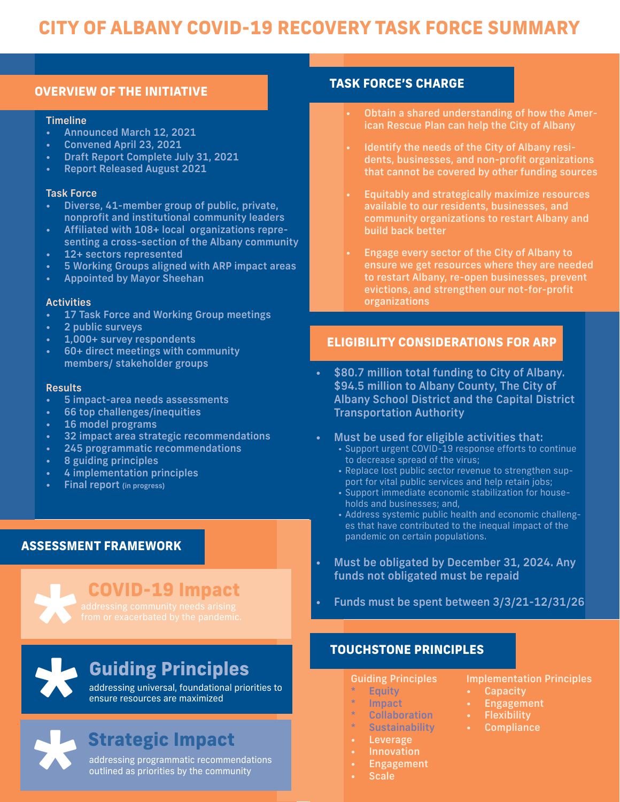# **CITY OF ALBANY COVID-19 RECOVERY TASK FORCE SUMMARY**

# **OVERVIEW OF THE INITIATIVE TASK FORCE'S CHARGE**

#### **Timeline**

- Announced March 12, 2021
- Convened April 23, 2021
- Draft Report Complete July 31, 2021
- Report Released August 2021

### Task Force

- Diverse, 41-member group of public, private, nonprofit and institutional community leaders
- Affiliated with 108+ local organizations representing a cross-section of the Albany community
- 12+ sectors represented
- 5 Working Groups aligned with ARP impact areas
- Appointed by Mayor Sheehan

#### **Activities**

- 17 Task Force and Working Group meetings
- 2 public surveys
- 1,000+ survey respondents
- 60+ direct meetings with community members/ stakeholder groups

#### **Results**

- 5 impact-area needs assessments
- 66 top challenges/inequities
- 16 model programs
- 32 impact area strategic recommendations
- 245 programmatic recommendations
- 8 guiding principles
- 4 implementation principles
- Final report (in progress)

## **ASSESSMENT FRAMEWORK**

# **COVID-19 Impact**

**\***

# **\* Guiding Principles**

addressing universal, foundational priorities to ensure resources are maximized



# **Strategic Impact**

addressing programmatic recommendations outlined as priorities by the community

- Obtain a shared understanding of how the American Rescue Plan can help the City of Albany
- Identify the needs of the City of Albany residents, businesses, and non-profit organizations that cannot be covered by other funding sources
- Equitably and strategically maximize resources available to our residents, businesses, and community organizations to restart Albany and build back better
- Engage every sector of the City of Albany to ensure we get resources where they are needed to restart Albany, re-open businesses, prevent evictions, and strengthen our not-for-profit organizations

## **ELIGIBILITY CONSIDERATIONS FOR ARP**

- \$80.7 million total funding to City of Albany. \$94.5 million to Albany County, The City of Albany School District and the Capital District Transportation Authority
- Must be used for eligible activities that:
	- Support urgent COVID-19 response efforts to continue to decrease spread of the virus;
	- Replace lost public sector revenue to strengthen support for vital public services and help retain jobs;
	- Support immediate economic stabilization for households and businesses; and,
	- Address systemic public health and economic challenges that have contributed to the inequal impact of the pandemic on certain populations.
- Must be obligated by December 31, 2024. Any funds not obligated must be repaid
- Funds must be spent between 3/3/21-12/31/26

## **TOUCHSTONE PRINCIPLES**

### Guiding Principles

- \* Equity
- **Impact**
- **Collaboration**
- \* Sustainability
- **Leverage**
- **Innovation**
- **Engagement**
- **Scale**

## Implementation Principles

- Capacity
- **Engagement**
- **Flexibility**
- **Compliance**